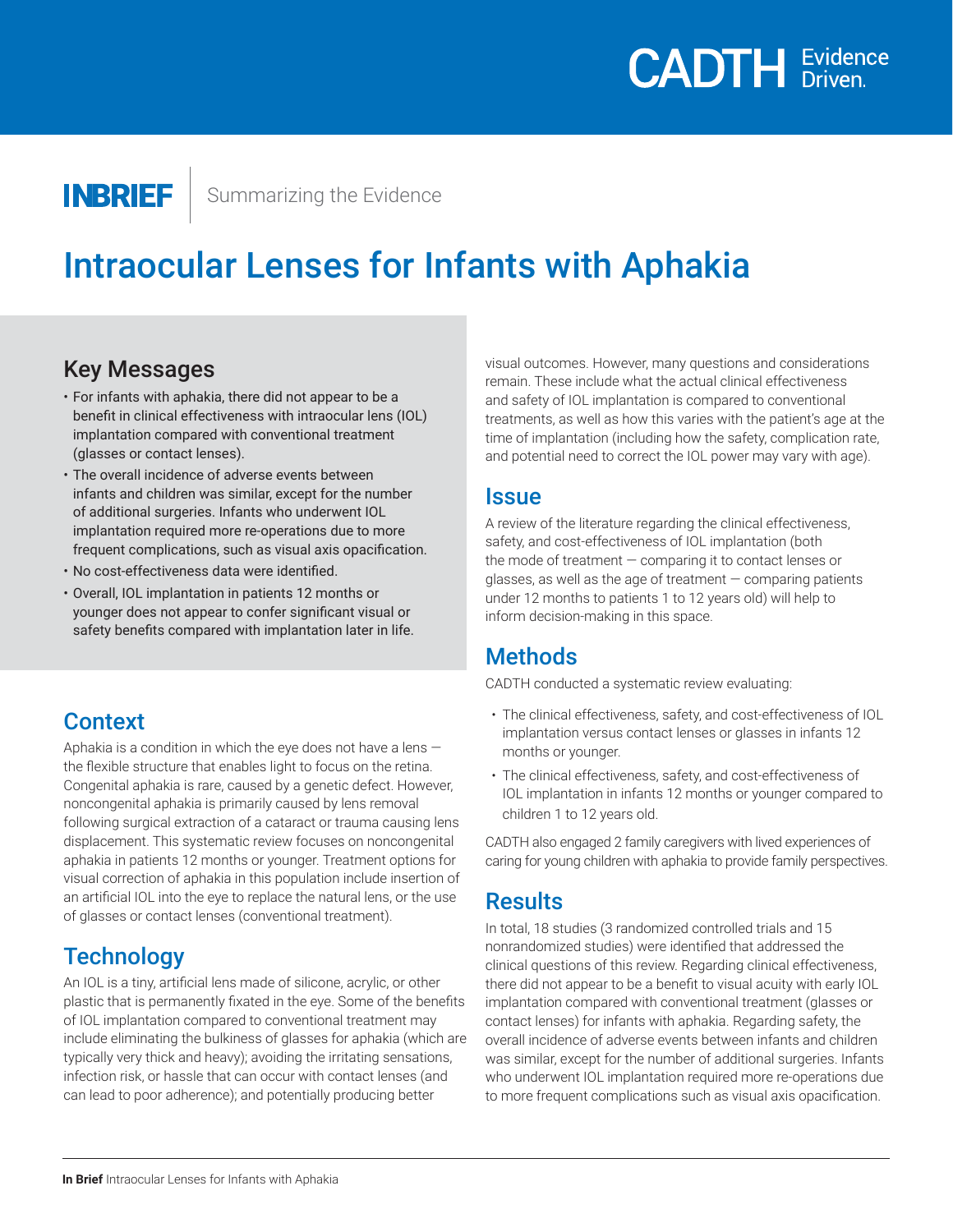

**INBRIEF** 

Summarizing the Evidence

## Intraocular Lenses for Infants with Aphakia

#### Key Messages

- For infants with aphakia, there did not appear to be a benefit in clinical effectiveness with intraocular lens (IOL) implantation compared with conventional treatment (glasses or contact lenses).
- The overall incidence of adverse events between infants and children was similar, except for the number of additional surgeries. Infants who underwent IOL implantation required more re-operations due to more frequent complications, such as visual axis opacification.
- No cost-effectiveness data were identified.
- Overall, IOL implantation in patients 12 months or younger does not appear to confer significant visual or safety benefits compared with implantation later in life.

#### **Context**

Aphakia is a condition in which the eye does not have a lens  $$ the flexible structure that enables light to focus on the retina. Congenital aphakia is rare, caused by a genetic defect. However, noncongenital aphakia is primarily caused by lens removal following surgical extraction of a cataract or trauma causing lens displacement. This systematic review focuses on noncongenital aphakia in patients 12 months or younger. Treatment options for visual correction of aphakia in this population include insertion of an artificial IOL into the eye to replace the natural lens, or the use of glasses or contact lenses (conventional treatment).

### **Technology**

An IOL is a tiny, artificial lens made of silicone, acrylic, or other plastic that is permanently fixated in the eye. Some of the benefits of IOL implantation compared to conventional treatment may include eliminating the bulkiness of glasses for aphakia (which are typically very thick and heavy); avoiding the irritating sensations, infection risk, or hassle that can occur with contact lenses (and can lead to poor adherence); and potentially producing better

visual outcomes. However, many questions and considerations remain. These include what the actual clinical effectiveness and safety of IOL implantation is compared to conventional treatments, as well as how this varies with the patient's age at the time of implantation (including how the safety, complication rate, and potential need to correct the IOL power may vary with age).

#### **Issue**

A review of the literature regarding the clinical effectiveness, safety, and cost-effectiveness of IOL implantation (both the mode of treatment — comparing it to contact lenses or glasses, as well as the age of treatment  $-$  comparing patients under 12 months to patients 1 to 12 years old) will help to inform decision-making in this space.

### Methods

CADTH conducted a systematic review evaluating:

- The clinical effectiveness, safety, and cost-effectiveness of IOL implantation versus contact lenses or glasses in infants 12 months or younger.
- The clinical effectiveness, safety, and cost-effectiveness of IOL implantation in infants 12 months or younger compared to children 1 to 12 years old.

CADTH also engaged 2 family caregivers with lived experiences of caring for young children with aphakia to provide family perspectives.

#### **Results**

In total, 18 studies (3 randomized controlled trials and 15 nonrandomized studies) were identified that addressed the clinical questions of this review. Regarding clinical effectiveness, there did not appear to be a benefit to visual acuity with early IOL implantation compared with conventional treatment (glasses or contact lenses) for infants with aphakia. Regarding safety, the overall incidence of adverse events between infants and children was similar, except for the number of additional surgeries. Infants who underwent IOL implantation required more re-operations due to more frequent complications such as visual axis opacification.